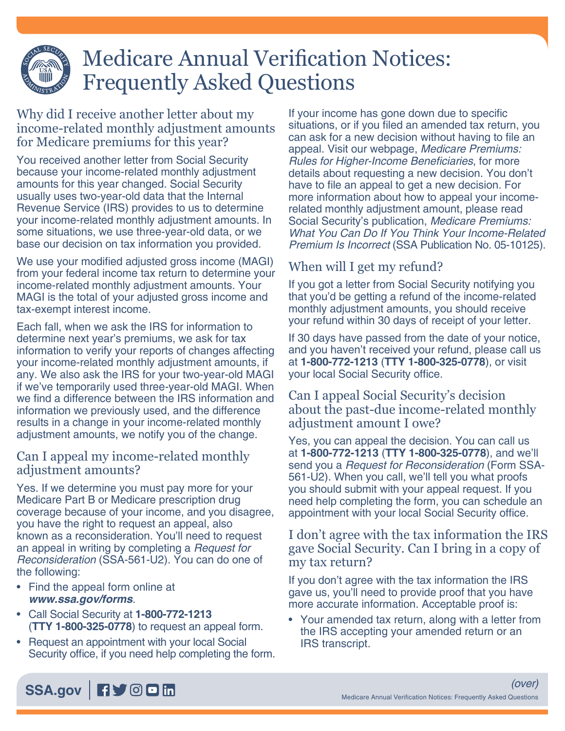# Medicare Annual Verification Notices: Frequently Asked Questions

Why did I receive another letter about my income-related monthly adjustment amounts for Medicare premiums for this year?

You received another letter from Social Security because your income-related monthly adjustment amounts for this year changed. Social Security usually uses two-year-old data that the Internal Revenue Service (IRS) provides to us to determine your income-related monthly adjustment amounts. In some situations, we use three-year-old data, or we base our decision on tax information you provided.

We use your modified adjusted gross income (MAGI) from your federal income tax return to determine your income-related monthly adjustment amounts. Your MAGI is the total of your adjusted gross income and tax-exempt interest income.

Each fall, when we ask the IRS for information to determine next year's premiums, we ask for tax information to verify your reports of changes affecting your income-related monthly adjustment amounts, if any. We also ask the IRS for your two-year-old MAGI if we've temporarily used three-year-old MAGI. When we find a difference between the IRS information and information we previously used, and the difference results in a change in your income-related monthly adjustment amounts, we notify you of the change.

# Can I appeal my income-related monthly adjustment amounts?

Yes. If we determine you must pay more for your Medicare Part B or Medicare prescription drug coverage because of your income, and you disagree, you have the right to request an appeal, also known as a reconsideration. You'll need to request an appeal in writing by completing a *[Request for](https://www.ssa.gov/forms/ssa-561.html)  [Reconsideration](https://www.ssa.gov/forms/ssa-561.html)* (SSA-561-U2). You can do one of the following:

- Find the appeal form online at *[www.ssa.gov/forms](https://www.ssa.gov/forms)*.
- Call Social Security at **1-800-772-1213** (**TTY 1-800-325-0778**) to request an appeal form.
- Request an appointment with your local Social Security office, if you need help completing the form.

If your income has gone down due to specific situations, or if you filed an amended tax return, you can ask for a new decision without having to file an appeal. Visit our webpage, *[Medicare Premiums:](https://www.ssa.gov/benefits/medicare/medicare-premiums.html)*  [Rules for Higher-Income Beneficiaries](https://www.ssa.gov/benefits/medicare/medicare-premiums.html), for more details about requesting a new decision. You don't have to file an appeal to get a new decision. For more information about how to appeal your incomerelated monthly adjustment amount, please read Social Security's publication, *[Medicare Premiums:](https://www.ssa.gov/pubs/EN-05-10125.pdf)  [What You Can Do If You Think Your Income-Related](https://www.ssa.gov/pubs/EN-05-10125.pdf)  Premium Is Incorrect* [\(SSA Publication No. 05-10125\)](https://www.ssa.gov/pubs/EN-05-10125.pdf).

# When will I get my refund?

If you got a letter from Social Security notifying you that you'd be getting a refund of the income-related monthly adjustment amounts, you should receive your refund within 30 days of receipt of your letter.

If 30 days have passed from the date of your notice, and you haven't received your refund, please call us at **1-800-772-1213** (**TTY 1-800-325-0778**), or visit your local Social Security office.

### Can I appeal Social Security's decision about the past-due income-related monthly adjustment amount I owe?

Yes, you can appeal the decision. You can call us at **1-800-772-1213** (**TTY 1-800-325-0778**), and we'll send you a *[Request for Reconsideration](https://www.ssa.gov/forms/ssa-561.html)* (Form SSA-[561-U2\).](https://www.ssa.gov/forms/ssa-561.html) When you call, we'll tell you what proofs you should submit with your appeal request. If you need help completing the form, you can schedule an appointment with your local Social Security office.

# I don't agree with the tax information the IRS gave Social Security. Can I bring in a copy of my tax return?

If you don't agree with the tax information the IRS gave us, you'll need to provide proof that you have more accurate information. Acceptable proof is:

• Your amended tax return, along with a letter from the IRS accepting your amended return or an IRS transcript.

[SSA.gov](http://www.socialsecurity.gov) **Fiy** OD in